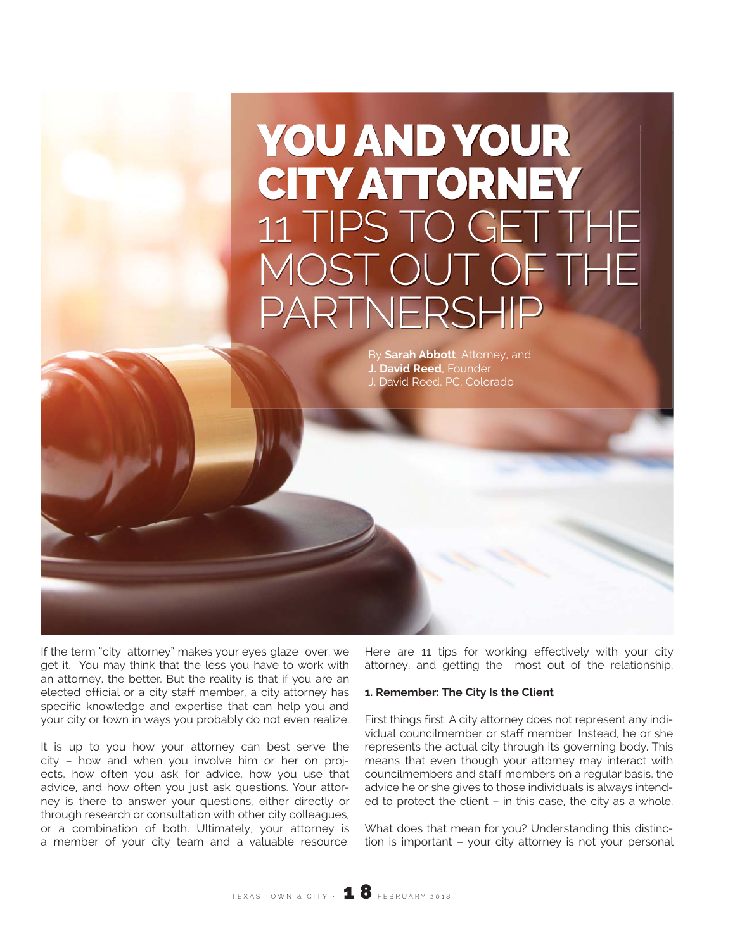# YOU AND YOUR CITY ATTORNEY 11 TIPS TO GET THE MOST OUT OF THE PARTNERSH

By **Sarah Abbott**, Attorney, and **J. David Reed**, Founder J. David Reed, PC, Colorado

If the term "city attorney" makes your eyes glaze over, we get it. You may think that the less you have to work with an attorney, the better. But the reality is that if you are an elected official or a city staff member, a city attorney has specific knowledge and expertise that can help you and your city or town in ways you probably do not even realize.

It is up to you how your attorney can best serve the city – how and when you involve him or her on projects, how often you ask for advice, how you use that advice, and how often you just ask questions. Your attorney is there to answer your questions, either directly or through research or consultation with other city colleagues, or a combination of both. Ultimately, your attorney is a member of your city team and a valuable resource. Here are 11 tips for working effectively with your city attorney, and getting the most out of the relationship.

## **1. Remember: The City Is the Client**

First things first: A city attorney does not represent any individual councilmember or staff member. Instead, he or she represents the actual city through its governing body. This means that even though your attorney may interact with councilmembers and staff members on a regular basis, the advice he or she gives to those individuals is always intended to protect the client – in this case, the city as a whole.

What does that mean for you? Understanding this distinction is important – your city attorney is not your personal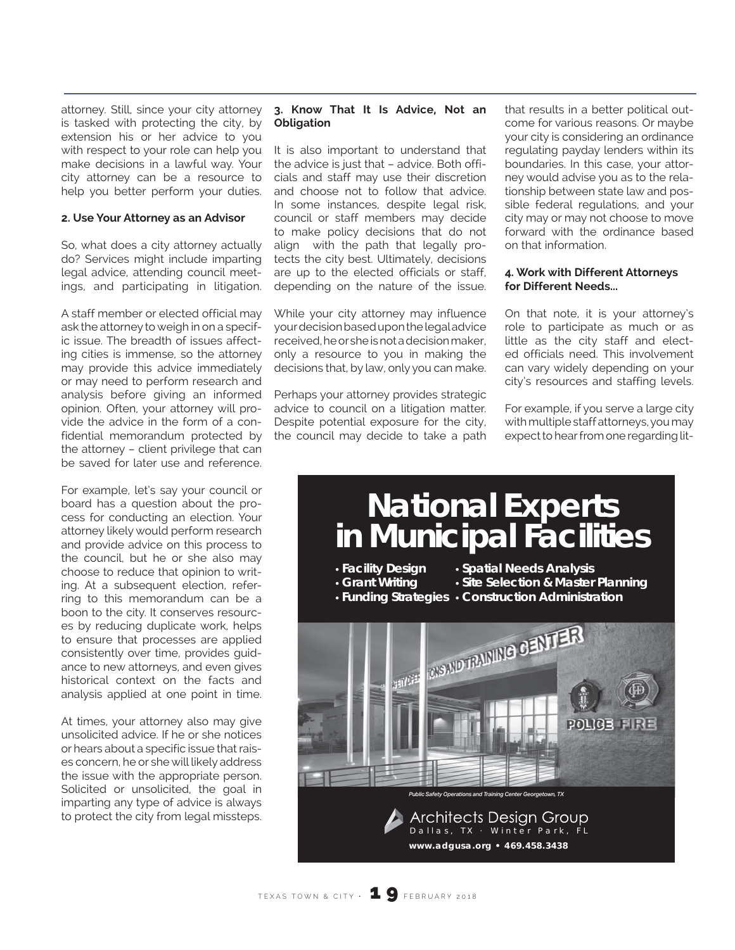attorney. Still, since your city attorney is tasked with protecting the city, by extension his or her advice to you with respect to your role can help you make decisions in a lawful way. Your city attorney can be a resource to help you better perform your duties.

#### **2. Use Your Attorney as an Advisor**

So, what does a city attorney actually do? Services might include imparting legal advice, attending council meetings, and participating in litigation.

A staff member or elected official may ask the attorney to weigh in on a specific issue. The breadth of issues affecting cities is immense, so the attorney may provide this advice immediately or may need to perform research and analysis before giving an informed opinion. Often, your attorney will provide the advice in the form of a confidential memorandum protected by the attorney – client privilege that can be saved for later use and reference.

For example, let's say your council or board has a question about the process for conducting an election. Your attorney likely would perform research and provide advice on this process to the council, but he or she also may choose to reduce that opinion to writing. At a subsequent election, referring to this memorandum can be a boon to the city. It conserves resources by reducing duplicate work, helps to ensure that processes are applied consistently over time, provides guidance to new attorneys, and even gives historical context on the facts and analysis applied at one point in time.

At times, your attorney also may give unsolicited advice. If he or she notices or hears about a specific issue that raises concern, he or she will likely address the issue with the appropriate person. Solicited or unsolicited, the goal in imparting any type of advice is always to protect the city from legal missteps.

#### **3. Know That It Is Advice, Not an Obligation**

It is also important to understand that the advice is just that – advice. Both officials and staff may use their discretion and choose not to follow that advice. In some instances, despite legal risk, council or staff members may decide to make policy decisions that do not align with the path that legally protects the city best. Ultimately, decisions are up to the elected officials or staff, depending on the nature of the issue.

While your city attorney may influence your decision based upon the legal advice received, he or she is not a decision maker, only a resource to you in making the decisions that, by law, only you can make.

Perhaps your attorney provides strategic advice to council on a litigation matter. Despite potential exposure for the city, the council may decide to take a path

that results in a better political outcome for various reasons. Or maybe your city is considering an ordinance regulating payday lenders within its boundaries. In this case, your attorney would advise you as to the relationship between state law and possible federal regulations, and your city may or may not choose to move forward with the ordinance based on that information.

#### **4. Work with Different Attorneys for Different Needs...**

On that note, it is your attorney's role to participate as much or as little as the city staff and elected officials need. This involvement can vary widely depending on your city's resources and staffing levels.

For example, if you serve a large city with multiple staff attorneys, you may expect to hear from one regarding lit-

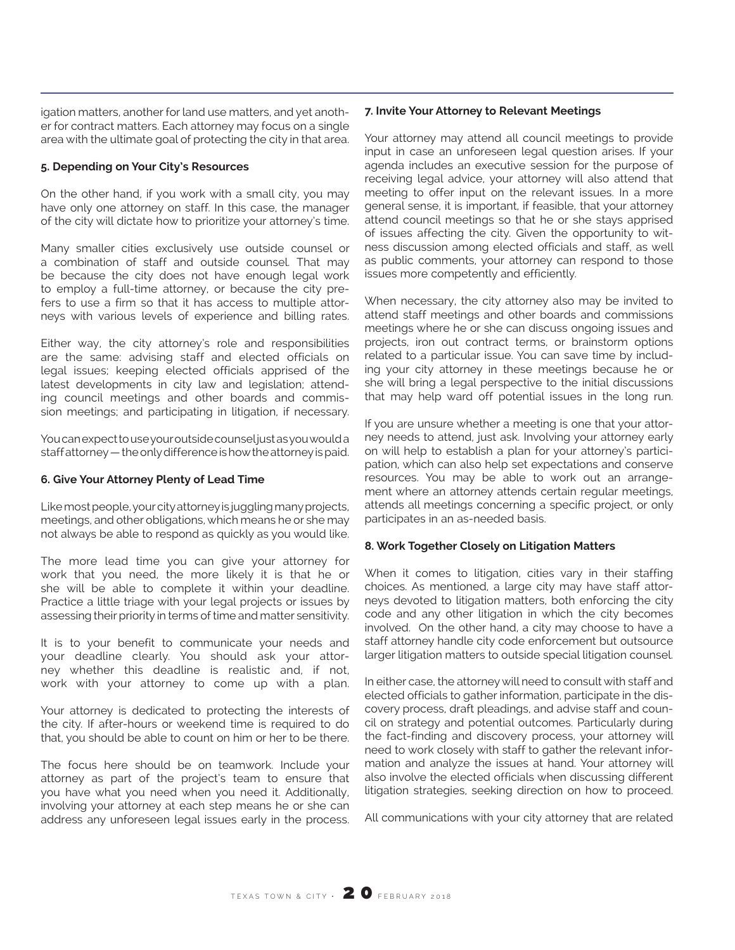igation matters, another for land use matters, and yet another for contract matters. Each attorney may focus on a single area with the ultimate goal of protecting the city in that area.

## **5. Depending on Your City's Resources**

On the other hand, if you work with a small city, you may have only one attorney on staff. In this case, the manager of the city will dictate how to prioritize your attorney's time.

Many smaller cities exclusively use outside counsel or a combination of staff and outside counsel. That may be because the city does not have enough legal work to employ a full-time attorney, or because the city prefers to use a firm so that it has access to multiple attorneys with various levels of experience and billing rates.

Either way, the city attorney's role and responsibilities are the same: advising staff and elected officials on legal issues; keeping elected officials apprised of the latest developments in city law and legislation; attending council meetings and other boards and commission meetings; and participating in litigation, if necessary.

You can expect to use your outside counsel just as you would a staff attorney — the only difference is how the attorney is paid.

## **6. Give Your Attorney Plenty of Lead Time**

Like most people, your city attorney is juggling many projects, meetings, and other obligations, which means he or she may not always be able to respond as quickly as you would like.

The more lead time you can give your attorney for work that you need, the more likely it is that he or she will be able to complete it within your deadline. Practice a little triage with your legal projects or issues by assessing their priority in terms of time and matter sensitivity.

It is to your benefit to communicate your needs and your deadline clearly. You should ask your attorney whether this deadline is realistic and, if not, work with your attorney to come up with a plan.

Your attorney is dedicated to protecting the interests of the city. If after-hours or weekend time is required to do that, you should be able to count on him or her to be there.

The focus here should be on teamwork. Include your attorney as part of the project's team to ensure that you have what you need when you need it. Additionally, involving your attorney at each step means he or she can address any unforeseen legal issues early in the process.

## **7. Invite Your Attorney to Relevant Meetings**

Your attorney may attend all council meetings to provide input in case an unforeseen legal question arises. If your agenda includes an executive session for the purpose of receiving legal advice, your attorney will also attend that meeting to offer input on the relevant issues. In a more general sense, it is important, if feasible, that your attorney attend council meetings so that he or she stays apprised of issues affecting the city. Given the opportunity to witness discussion among elected officials and staff, as well as public comments, your attorney can respond to those issues more competently and efficiently.

When necessary, the city attorney also may be invited to attend staff meetings and other boards and commissions meetings where he or she can discuss ongoing issues and projects, iron out contract terms, or brainstorm options related to a particular issue. You can save time by including your city attorney in these meetings because he or she will bring a legal perspective to the initial discussions that may help ward off potential issues in the long run.

If you are unsure whether a meeting is one that your attorney needs to attend, just ask. Involving your attorney early on will help to establish a plan for your attorney's participation, which can also help set expectations and conserve resources. You may be able to work out an arrangement where an attorney attends certain regular meetings, attends all meetings concerning a specific project, or only participates in an as-needed basis.

## **8. Work Together Closely on Litigation Matters**

When it comes to litigation, cities vary in their staffing choices. As mentioned, a large city may have staff attorneys devoted to litigation matters, both enforcing the city code and any other litigation in which the city becomes involved. On the other hand, a city may choose to have a staff attorney handle city code enforcement but outsource larger litigation matters to outside special litigation counsel.

In either case, the attorney will need to consult with staff and elected officials to gather information, participate in the discovery process, draft pleadings, and advise staff and council on strategy and potential outcomes. Particularly during the fact-finding and discovery process, your attorney will need to work closely with staff to gather the relevant information and analyze the issues at hand. Your attorney will also involve the elected officials when discussing different litigation strategies, seeking direction on how to proceed.

All communications with your city attorney that are related